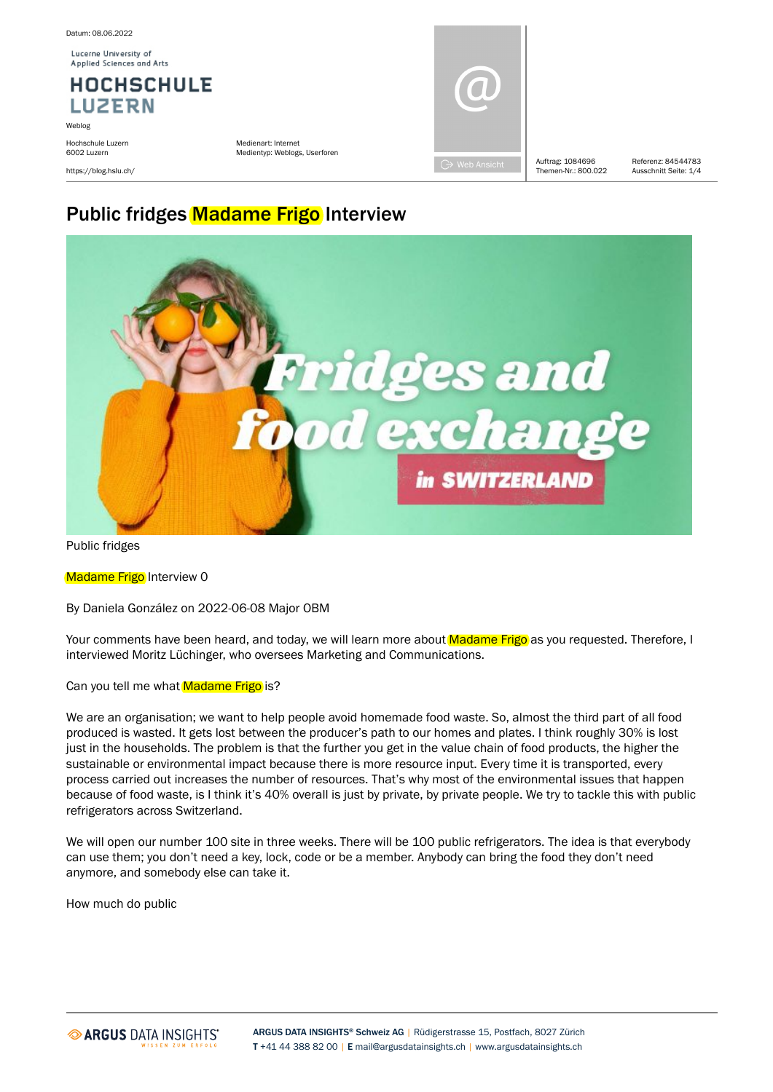Lucerne University of Applied Sciences and Arts

#### **HOCHSCHULE LUZERN**

Weblog Hochschule Luzern 6002 Luzern

https://blog.hslu.ch/

Medienart: Internet Medientyp: Weblogs, Userforen



Themen-Nr · 800.022

Auftrag: 1084696 Referenz: 84544783 Ausschnitt Seite: 1/4

# [Public](https://blog.hslu.ch/majorobm/2022/06/08/dagc-4/) [fridges](https://blog.hslu.ch/majorobm/2022/06/08/dagc-4/) [Madame](https://blog.hslu.ch/majorobm/2022/06/08/dagc-4/) [Frigo](https://blog.hslu.ch/majorobm/2022/06/08/dagc-4/) [Interview](https://blog.hslu.ch/majorobm/2022/06/08/dagc-4/)



Public fridges

Madame Frigo Interview 0

By Daniela González on 2022-06-08 Major OBM

Your comments have been heard, and today, we will learn more about Madame Frigo as you requested. Therefore, I interviewed Moritz Lüchinger, who oversees Marketing and Communications.

Can you tell me what Madame Frigo is?

We are an organisation; we want to help people avoid homemade food waste. So, almost the third part of all food produced is wasted. It gets lost between the producer's path to our homes and plates. I think roughly 30% is lost just in the households. The problem is that the further you get in the value chain of food products, the higher the sustainable or environmental impact because there is more resource input. Every time it is transported, every process carried out increases the number of resources. That's why most of the environmental issues that happen because of food waste, is I think it's 40% overall is just by private, by private people. We try to tackle this with public refrigerators across Switzerland.

We will open our number 100 site in three weeks. There will be 100 public refrigerators. The idea is that everybody can use them; you don't need a key, lock, code or be a member. Anybody can bring the food they don't need anymore, and somebody else can take it.

How much do public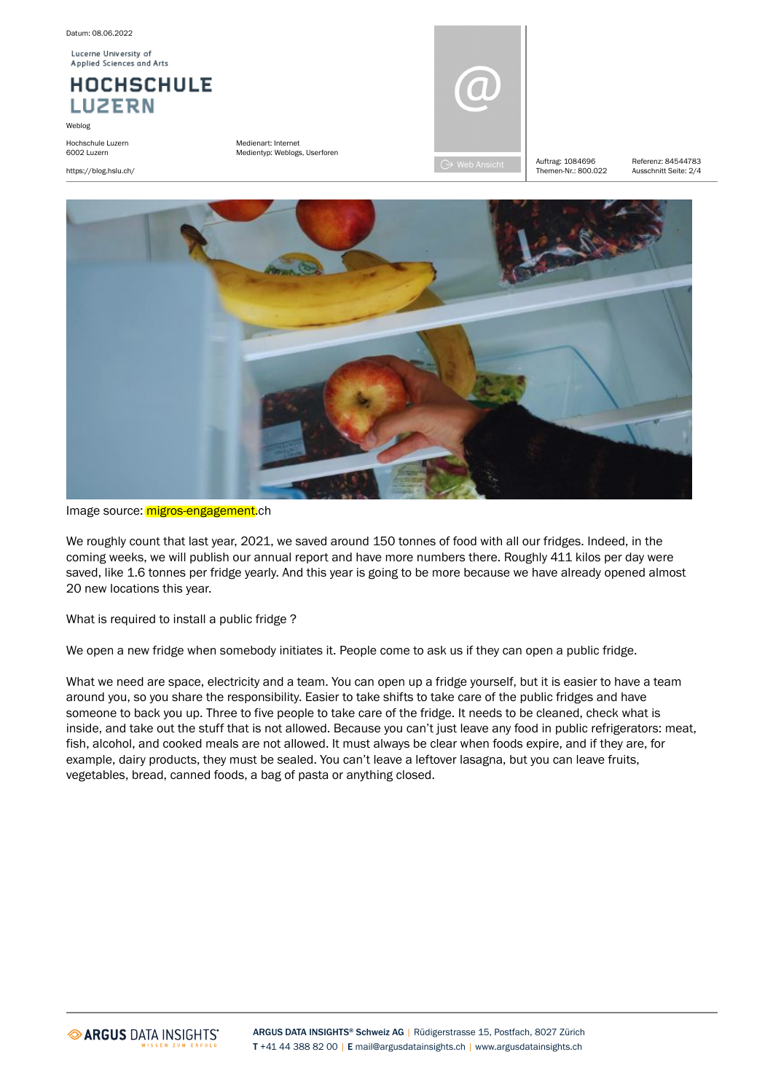Lucerne University of Applied Sciences and Arts

### **HOCHSCHULE LUZERN**

Weblog

Hochschule Luzern 6002 Luzern

https://blog.hslu.ch/

Medienart: Internet Medientyp: Weblogs, Userforen



Themen-Nr · 800.022

Auftrag: 1084696 Referenz: 84544783 Ausschnitt Seite: 2/4



Image source: migros-engagement.ch

We roughly count that last year, 2021, we saved around 150 tonnes of food with all our fridges. Indeed, in the coming weeks, we will publish our annual report and have more numbers there. Roughly 411 kilos per day were saved, like 1.6 tonnes per fridge yearly. And this year is going to be more because we have already opened almost 20 new locations this year.

What is required to install a public fridge?

We open a new fridge when somebody initiates it. People come to ask us if they can open a public fridge.

What we need are space, electricity and a team. You can open up a fridge yourself, but it is easier to have a team around you, so you share the responsibility. Easier to take shifts to take care of the public fridges and have someone to back you up. Three to five people to take care of the fridge. It needs to be cleaned, check what is inside, and take out the stuff that is not allowed. Because you can't just leave any food in public refrigerators: meat, fish, alcohol, and cooked meals are not allowed. It must always be clear when foods expire, and if they are, for example, dairy products, they must be sealed. You can't leave a leftover lasagna, but you can leave fruits, vegetables, bread, canned foods, a bag of pasta or anything closed.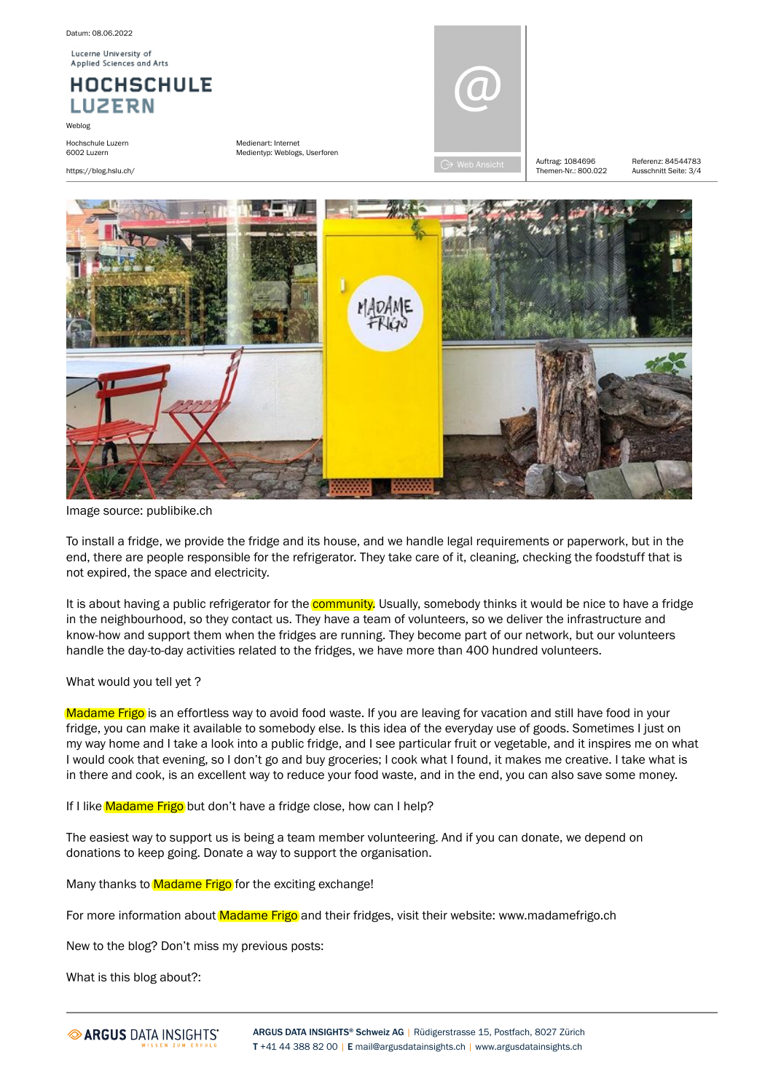Datum: 08.06.2022

Lucerne University of Applied Sciences and Arts

**HOCHSCHULE LUZERN** 

Weblog

Hochschule Luzern 6002 Luzern

https://blog.hslu.ch/

Medienart: Internet Medientyp: Weblogs, Userforen



Themen-Nr · 800.022 Auftrag: 1084696 Referenz: 84544783

Ausschnitt Seite: 3/4



Image source: publibike.ch

To install a fridge, we provide the fridge and its house, and we handle legal requirements or paperwork, but in the end, there are people responsible for the refrigerator. They take care of it, cleaning, checking the foodstuff that is not expired, the space and electricity.

It is about having a public refrigerator for the **community**. Usually, somebody thinks it would be nice to have a fridge in the neighbourhood, so they contact us. They have a team of volunteers, so we deliver the infrastructure and know-how and support them when the fridges are running. They become part of our network, but our volunteers handle the day-to-day activities related to the fridges, we have more than 400 hundred volunteers.

#### What would you tell yet ?

Madame Frigo is an effortless way to avoid food waste. If you are leaving for vacation and still have food in your fridge, you can make it available to somebody else. Is this idea of the everyday use of goods. Sometimes I just on my way home and I take a look into a public fridge, and I see particular fruit or vegetable, and it inspires me on what I would cook that evening, so I don't go and buy groceries; I cook what I found, it makes me creative. I take what is in there and cook, is an excellent way to reduce your food waste, and in the end, you can also save some money.

If I like Madame Frigo but don't have a fridge close, how can I help?

The easiest way to support us is being a team member volunteering. And if you can donate, we depend on donations to keep going. Donate a way to support the organisation.

Many thanks to Madame Frigo for the exciting exchange!

For more information about Madame Frigo and their fridges, visit their website: www.madamefrigo.ch

New to the blog? Don't miss my previous posts:

What is this blog about?: